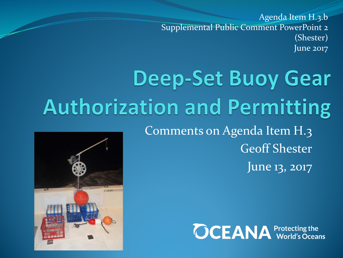Agenda Item H.3.b Supplemental Public Comment PowerPoint 2 (Shester) June 2017

## **Deep-Set Buoy Gear Authorization and Permitting** Comments on Agenda Item H.3 Geoff Shester

June 13, 2017



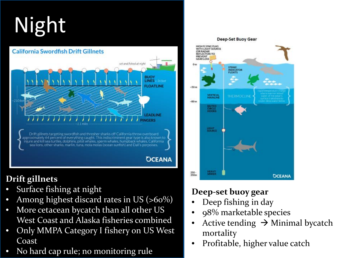# Night

#### **California Swordfish Drift Gillnets** set and fished at night **BUOY LINES FLOATLINE FADLINE IGERS** Drift gillnets targeting swordfish and thresher sharks off California throw overboard approximately 64 percent of everything caught. This indiscriminent gear type is also known to injure and kill sea turtles, dolphins, pilot whales, sperm whales, humpback whales, California sea lions, other sharks, marlin, tuna, mola molas (ocean sunfish) and Dall's porpoises. **OCEANA**

#### **Drift gillnets**

- Surface fishing at night
- Among highest discard rates in US (>60%)
- More cetacean bycatch than all other US West Coast and Alaska fisheries combined
- Only MMPA Category I fishery on US West Coast
- No hard cap rule; no monitoring rule

#### $-80m$ **BAITED**<br>CIRCLE<br>HOOKS LIGHT **HEAVY** 250-350m **OCEANA**

THERMOCLINI

**Deep-Set Buoy Gear** 

**STRIKE INDICATOR**<br>FLOATS

HIGH FLYING FLAG WITH LIGHT SOURCE

**VERTICAL**<br>MAINLINE

**REFLECTOR) TO PREVENT**<br>GEAR LOSS

 $-50m$ 

#### **Deep-set buoy gear**

- Deep fishing in day
- 98% marketable species
- Active tending  $\rightarrow$  Minimal bycatch mortality
- Profitable, higher value catch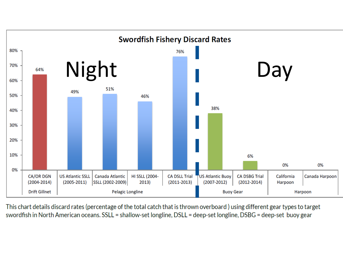

This chart details discard rates (percentage of the total catch that is thrown overboard) using different gear types to target swordfish in North American oceans. SSLL = shallow-set longline, DSLL = deep-set longline, DSBG = deep-set buoy gear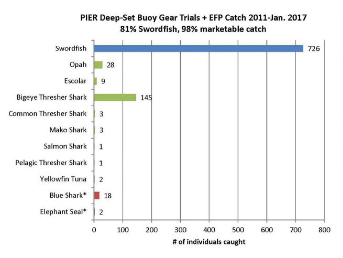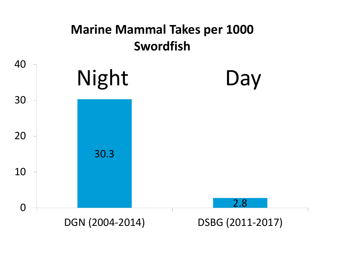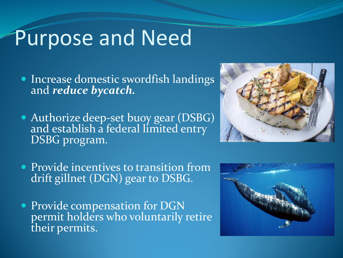## Purpose and Need

- Increase domestic swordfish landings and *reduce bycatch.*
- Authorize deep-set buoy gear (DSBG) and establish a federal limited entry DSBG program.



- **Provide incentives to transition from** drift gillnet (DGN) gear to DSBG.
- Provide compensation for DGN permit holders who voluntarily retire their permits.

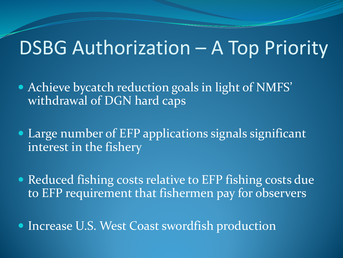### DSBG Authorization – A Top Priority

- Achieve bycatch reduction goals in light of NMFS' withdrawal of DGN hard caps
- Large number of EFP applications signals significant interest in the fishery
- Reduced fishing costs relative to EFP fishing costs due to EFP requirement that fishermen pay for observers
- Increase U.S. West Coast swordfish production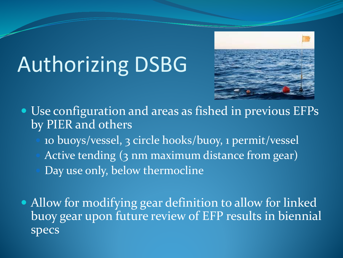# Authorizing DSBG



- Use configuration and areas as fished in previous EFPs by PIER and others
	- 10 buoys/vessel, 3 circle hooks/buoy, 1 permit/vessel
	- Active tending (3 nm maximum distance from gear)
	- Day use only, below thermocline
- Allow for modifying gear definition to allow for linked buoy gear upon future review of EFP results in biennial specs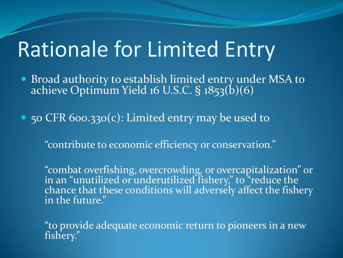## Rationale for Limited Entry

- **Broad authority to establish limited entry under MSA to** achieve Optimum Yield 16 U.S.C. § 1853(b)(6)
- 50 CFR 600.330(c): Limited entry may be used to
	- "contribute to economic efficiency or conservation."
	- "combat overfishing, overcrowding, or overcapitalization" or in an "unutilized or underutilized fishery," to "reduce the chance that these conditions will adversely affect the fishery in the future."
	- "to provide adequate economic return to pioneers in a new fishery."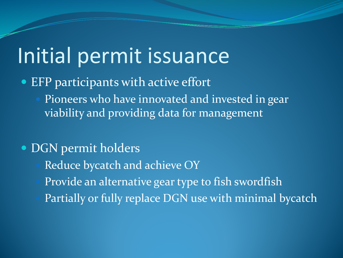## Initial permit issuance

- EFP participants with active effort
	- Pioneers who have innovated and invested in gear viability and providing data for management

#### • DGN permit holders

- Reduce bycatch and achieve OY
- Provide an alternative gear type to fish swordfish
- Partially or fully replace DGN use with minimal bycatch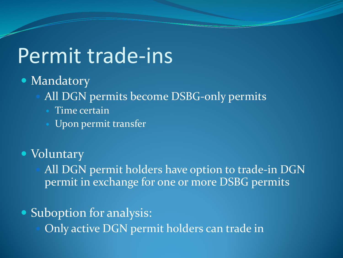### Permit trade-ins

#### • Mandatory

- All DGN permits become DSBG-only permits
	- Time certain
	- Upon permit transfer

### Voluntary

 All DGN permit holders have option to trade-in DGN permit in exchange for one or more DSBG permits

#### • Suboption for analysis:

Only active DGN permit holders can trade in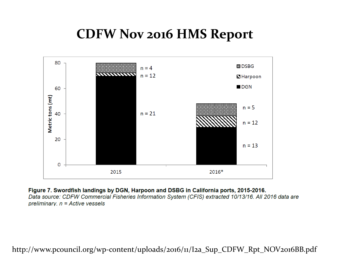### **CDFW Nov 2016 HMS Report**



Figure 7. Swordfish landings by DGN, Harpoon and DSBG in California ports, 2015-2016. Data source: CDFW Commercial Fisheries Information System (CFIS) extracted 10/13/16. All 2016 data are preliminary.  $n =$  Active vessels

http://www.pcouncil.org/wp-content/uploads/2016/11/I2a\_Sup\_CDFW\_Rpt\_NOV2016BB.pdf